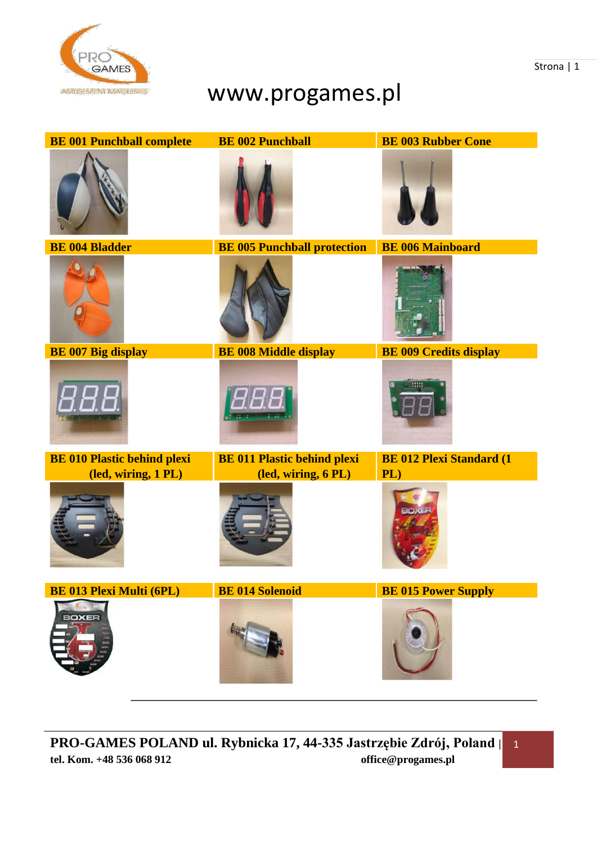

## www.progames.pl

| <b>BE 001 Punchball complete</b>   | <b>BE 002 Punchball</b>            | <b>BE 003 Rubber Cone</b>        |
|------------------------------------|------------------------------------|----------------------------------|
|                                    |                                    |                                  |
| <b>BE 004 Bladder</b>              | <b>BE 005 Punchball protection</b> | <b>BE 006 Mainboard</b>          |
|                                    |                                    |                                  |
| <b>BE 007 Big display</b>          | <b>BE 008 Middle display</b>       | <b>BE 009 Credits display</b>    |
|                                    |                                    |                                  |
| <b>BE 010 Plastic behind plexi</b> | <b>BE 011 Plastic behind plexi</b> | <b>BE 012 Plexi Standard (1)</b> |
| (led, wiring, 1 PL)                | (led, wiring, 6 PL)                | PL)                              |
| <b>BE 013 Plexi Multi (6PL)</b>    | <b>BE 014 Solenoid</b>             | <b>BE 015 Power Supply</b>       |
| BOXER                              |                                    |                                  |

Strona | 1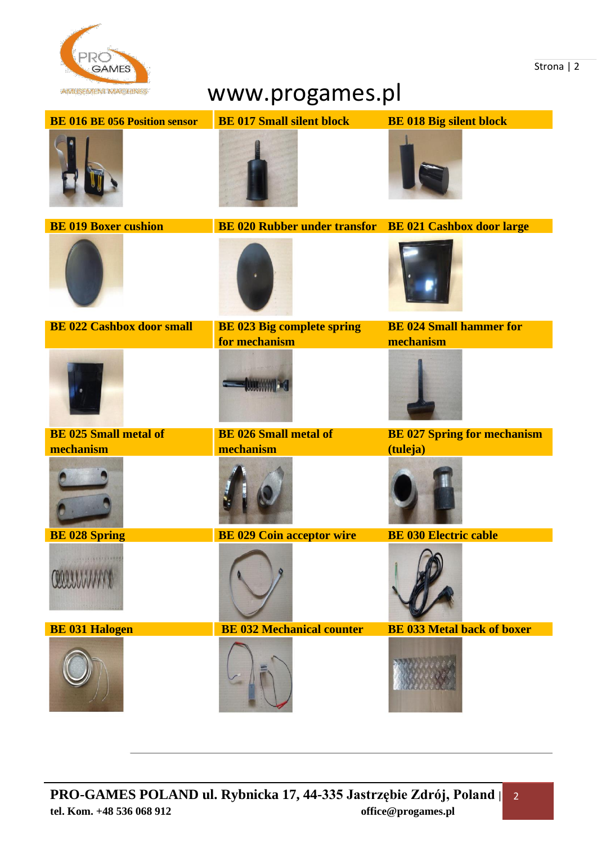

## www.progames.pl

|                                      | _ ت<br>$\sim$ $\sim$ $\sim$ $\sim$ $\sim$ $\sim$<br>H. |                                    |  |
|--------------------------------------|--------------------------------------------------------|------------------------------------|--|
| <b>BE 016 BE 056 Position sensor</b> | <b>BE 017 Small silent block</b>                       | <b>BE 018 Big silent block</b>     |  |
|                                      |                                                        |                                    |  |
| <b>BE 019 Boxer cushion</b>          | BE 020 Rubber under transfor BE 021 Cashbox door large |                                    |  |
|                                      |                                                        |                                    |  |
| <b>BE 022 Cashbox door small</b>     | <b>BE 023 Big complete spring</b>                      | <b>BE 024 Small hammer for</b>     |  |
|                                      | for mechanism                                          | mechanism                          |  |
|                                      |                                                        |                                    |  |
| <b>BE 025 Small metal of</b>         | <b>BE 026 Small metal of</b>                           | <b>BE 027 Spring for mechanism</b> |  |
| mechanism                            | mechanism                                              | (tuleja)                           |  |
|                                      |                                                        |                                    |  |
| <b>BE 028 Spring</b>                 | <b>BE 029 Coin acceptor wire</b>                       | <b>BE 030 Electric cable</b>       |  |
| COLOUNY                              |                                                        | $\sim$                             |  |
| <b>BE 031 Halogen</b>                | <b>BE 032 Mechanical counter</b>                       | <b>BE 033 Metal back of boxer</b>  |  |
|                                      |                                                        |                                    |  |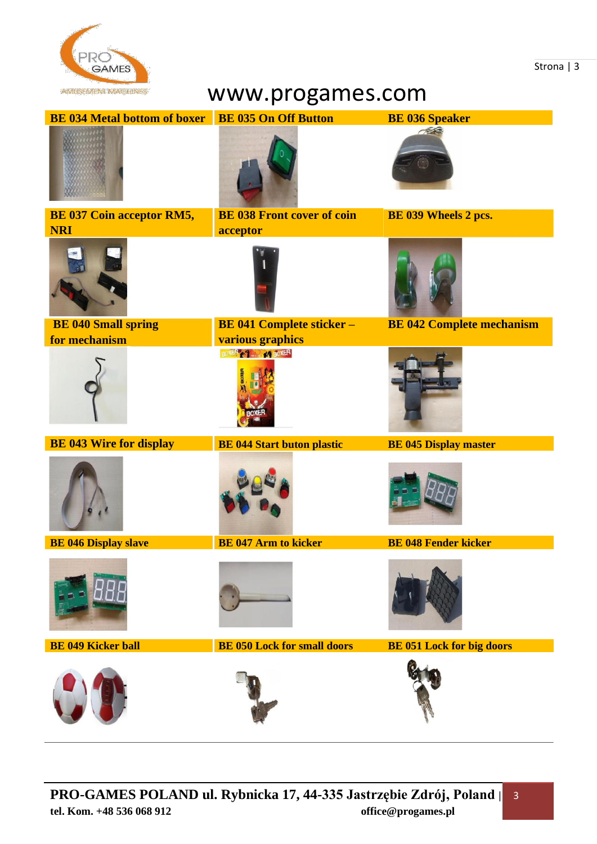

## www.progames.com

| <b>BE 034 Metal bottom of boxer</b> | <b>BE 035 On Off Button</b>            | <b>BE 036 Speaker</b>            |
|-------------------------------------|----------------------------------------|----------------------------------|
|                                     |                                        | 756                              |
| <b>BE 037 Coin acceptor RM5,</b>    | <b>BE 038 Front cover of coin</b>      | BE 039 Wheels 2 pcs.             |
| <b>NRI</b>                          | acceptor                               |                                  |
| <b>BE 040 Small spring</b>          | <b>BE 041 Complete sticker -</b>       | <b>BE 042 Complete mechanism</b> |
| for mechanism                       | various graphics<br>BOXER & 1 64 BOXER |                                  |
| <b>BE 043 Wire for display</b>      | <b>BE 044 Start buton plastic</b>      | <b>BE 045 Display master</b>     |
|                                     |                                        |                                  |
| <b>BE 046 Display slave</b>         | <b>BE 047 Arm to kicker</b>            | <b>BE 048 Fender kicker</b>      |
|                                     |                                        |                                  |
| <b>BE 049 Kicker ball</b>           | <b>BE 050 Lock for small doors</b>     | <b>BE 051 Lock for big doors</b> |
|                                     |                                        |                                  |